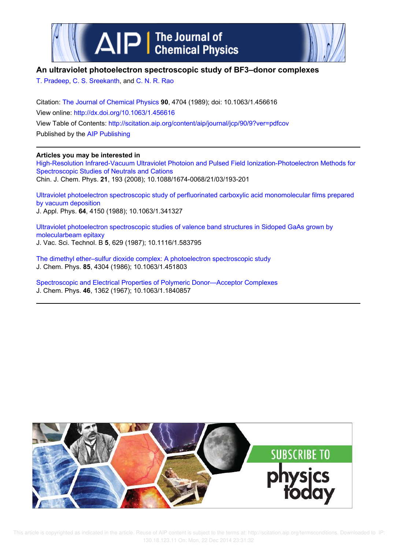



## **An ultraviolet photoelectron spectroscopic study of BF3–donor complexes**

T. Pradeep, C. S. Sreekanth, and C. N. R. Rao

Citation: The Journal of Chemical Physics **90**, 4704 (1989); doi: 10.1063/1.456616 View online: http://dx.doi.org/10.1063/1.456616 View Table of Contents: http://scitation.aip.org/content/aip/journal/jcp/90/9?ver=pdfcov Published by the AIP Publishing

### **Articles you may be interested in**

High-Resolution Infrared-Vacuum Ultraviolet Photoion and Pulsed Field Ionization-Photoelectron Methods for Spectroscopic Studies of Neutrals and Cations Chin. J. Chem. Phys. **21**, 193 (2008); 10.1088/1674-0068/21/03/193-201

Ultraviolet photoelectron spectroscopic study of perfluorinated carboxylic acid monomolecular films prepared by vacuum deposition J. Appl. Phys. **64**, 4150 (1988); 10.1063/1.341327

Ultraviolet photoelectron spectroscopic studies of valence band structures in Sidoped GaAs grown by molecularbeam epitaxy J. Vac. Sci. Technol. B **5**, 629 (1987); 10.1116/1.583795

The dimethyl ether–sulfur dioxide complex: A photoelectron spectroscopic study J. Chem. Phys. **85**, 4304 (1986); 10.1063/1.451803

Spectroscopic and Electrical Properties of Polymeric Donor—Acceptor Complexes J. Chem. Phys. **46**, 1362 (1967); 10.1063/1.1840857

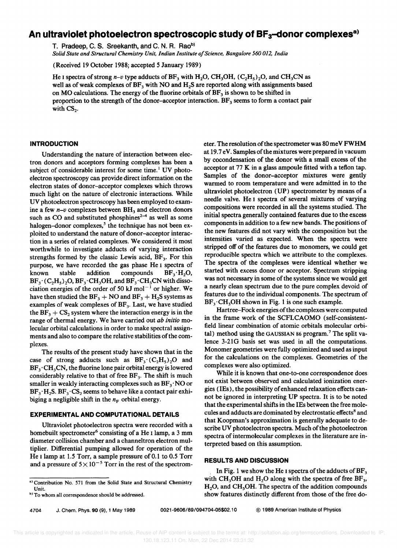# **An ultraviolet photoelectron spectroscopic study of BF3-donor complexes·)**

T. Pradeep, C. S. Sreekanth, and C. N. R. Rao<sup>b)</sup> Solid State and Structural Chemistry Unit, Indian Institute of Science, Bangalore 560 012, India

(Received 19 October 1988; accepted 5 January 1989)

He I spectra of strong  $n-v$  type adducts of BF<sub>3</sub> with H<sub>2</sub>O, CH<sub>3</sub>OH, (C<sub>2</sub>H<sub>3</sub>)<sub>2</sub>O, and CH<sub>3</sub>CN as well as of weak complexes of  $BF_3$  with NO and  $H_2S$  are reported along with assignments based on MO calculations. The energy of the fluorine orbitals of  $BF_3$  is shown to be shifted in proportion to the strength of the donor-acceptor interaction.  $BF_3$  seems to form a contact pair with  $CS_2$ .

#### **INTRODUCTION**

Understanding the nature of interaction between electron donors and acceptors forming complexes has been a subject of considerable interest for some time.<sup>1</sup> UV photoelectron spectroscopy can provide direct information on the electron states of donor-acceptor complexes which throws much light on the nature of electronic interactions. While UV photoelectron spectroscopy has been employed to examine a few  $n-v$  complexes between  $BH<sub>3</sub>$  and electron donors such as CO and substituted phosphines<sup> $2-4$ </sup> as well as some halogen-donor complexes,<sup>5</sup> the technique has not been exploited to understand the nature of donor-acceptor interaction in a series of related complexes. We considered it most worthwhile to investigate adducts of varying interaction strengths formed by the classic Lewis acid,  $BF<sub>3</sub>$ . For this purpose, we have recorded the gas phase He I spectra of known stable addition compounds  $BF_3 \cdot H_2O$ ,  $BF_3$   $(C_2H_5)_2O$ ,  $BF_3$   $CH_3OH$ , and  $BF_3$   $CH_3CN$  with dissociation energies of the order of 50 kJ mol<sup>-1</sup> or higher. We have then studied the  $BF_3 + NO$  and  $BF_3 + H_2S$  systems as examples of weak complexes of BF<sub>3</sub>. Last, we have studied the  $BF_3 + CS_2$  system where the interaction energy is in the range of thermal energy. We have carried out *ab initio* molecular orbital calculations in order to make spectral assignments and also to compare the relative stabilities of the complexes.

The results of the present study have shown that in the case of strong adducts such as  $BF_3$  (C<sub>2</sub>H<sub>5</sub>)<sub>2</sub>O and  $BF_3 \cdot CH_3CN$ , the fluorine lone pair orbital energy is lowered considerably relative to that of free  $BF_3$ . The shift is much smaller in weakly interacting complexes such as  $\text{BF}_3$  NO or  $BF_3 \cdot H_2S$ .  $BF_3 \cdot CS_2$  seems to behave like a contact pair exhibiging a negligible shift in the  $n_F$  orbital energy.

#### **EXPERIMENTAL AND COMPUTATIONAL DETAILS**

Ultraviolet photoelectron spectra were recorded with a homebuilt spectrometer<sup>6</sup> consisting of a He I lamp, a 3 mm diameter collision chamber and a channeltron electron multiplier. Differential pumping allowed for operation of the He I lamp at 1.5 Torr, a sample pressure of 0.1 to 0.5 Torr and a pressure of  $5 \times 10^{-5}$  Torr in the rest of the spectrom-

4704 J. Chern. Phys. 90 (9), 1 May 1989 *0021-9606/89/094704-05\$02.10* © 1989 American Institute of Physics

eter. The resolution of the spectrometer was 80 meV FWHM at 19.7 e V. Samples of the mixtures were prepared in vacuum by cocondensation of the donor with a small excess of the acceptor at 77 K in a glass ampoule fitted with a teflon tap. Samples of the donor-acceptor mixtures were gently warmed to room temperature and were admitted in to the ultraviolet photoelectron (UP) spectrometer by means of a needle valve. He I spectra of several mixtures of varying compositions were recorded in all the systems studied. The initial spectra generally contained features due to the excess components in addition to a few new bands. The positions of the new features did not vary with the composition but the intensities varied as expected. When the spectra were stripped off of the features due to monomers, we could get reproducible spectra which we attribute to the complexes. The spectra of the complexes were identical whether we started with excess donor or acceptor. Spectrum stripping was not necessary in some of the systems since we would get a nearly clean spectrum due to the pure complex devoid of features due to the individual components. The spectrum of  $BF_3$  CH<sub>3</sub>OH shown in Fig. 1 is one such example.

Hartree-Fock energies of the complexes were computed in the frame work of the SCFLCAOMO (self-consistentfield linear combination of atomic orbitals molecular orbital) method using the GAUSSIAN 86 program.<sup>7</sup> The split valence 3-21G basis set was used in all the computations. Monomer geometries were fully optimized and used as input for the calculations on the complexes. Geometries of the complexes were also optimized.

While it is known that one-to-one correspondence does not exist between observed and calculated ionization energies (IEs), the possibility of enhanced relaxation effects cannot be ignored in interpreting UP spectra. It is to be noted that the experimental shifts in the IEs between the free molecules and adducts are dominated by electrostatic effects<sup>8</sup> and that Koopman's approximation is generally adequate to describe UV photoelectron spectra. Much of the photoelectron spectra of intermolecular complexes in the literature are interpreted based on this assumption.

### **RESULTS AND DISCUSSION**

In Fig. 1 we show the He I spectra of the adducts of  $BF_3$ with CH<sub>3</sub>OH and H<sub>2</sub>O along with the spectra of free BF<sub>3</sub>,  $H<sub>2</sub>O$ , and CH<sub>3</sub>OH. The spectra of the addition compounds show features distinctly different from those of the free do-

a) Contribution No. 571 from the Solid State and Structural Chemistry Unit.

b) To whom all correspondence should be addressed.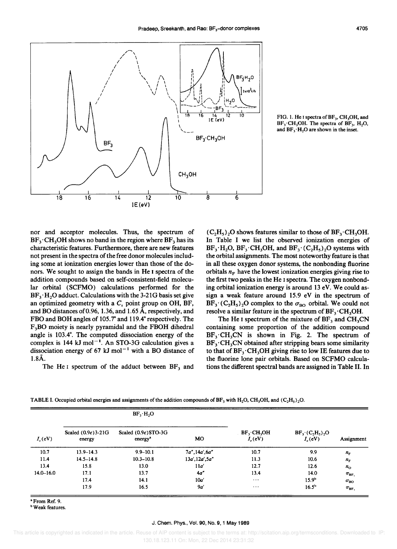

 $\begin{array}{ccc}\n 14 & 12 & 10 \\
1 \in (eV) & \n\end{array}$  FIG. 1. He I spectra of BF<sub>3</sub>, CH<sub>3</sub>OH, and  $BF_3$ ·CH<sub>3</sub>OH. The spectra of BF<sub>3</sub>, H<sub>2</sub>O, and  $BF_3 \cdot H_2O$  are shown in the inset.

nor and acceptor molecules. Thus, the spectrum of  $BF_3$  CH<sub>3</sub>OH shows no band in the region where  $BF_3$  has its characteristic features. Furthermore, there are new features not present in the spectra of the free donor molecules including some at ionization energies lower than those of the donors. We sought to assign the bands in He I spectra of the addition compounds based on self-consistent-field molecular orbital (SCFMO) calculations performed for the  $BF<sub>3</sub>·H<sub>2</sub>O$  adduct. Calculations with the 3-21G basis set give an optimized geometry with a *Cs* point group on OH, BF, and BO distances of 0.96, 1.36, and 1.65 A, respectively, and FBO and BOH angles of 105.7° and 119.4° respectively. The F3BO moiety is nearly pyramidal and the FBOH dihedral angle is 103.4°. The computed dissociation energy of the complex is  $144 \text{ kJ} \text{ mol}^{-1}$ . An STO-3G calculation gives a dissociation energy of 67 kJ mol<sup>-1</sup> with a BO distance of 1.8A.

The He I spectrum of the adduct between  $BF_3$  and

 $(C_2H_5)_2O$  shows features similar to those of  $BF_3 \cdot CH_3OH$ . In Table I we list the observed ionization energies of  $BF_3 \cdot H_2O$ ,  $BF_3 \cdot CH_3OH$ , and  $BF_3 \cdot (C_2H_5)_2O$  systems with the orbital assignments. The most noteworthy feature is that in all these oxygen donor systems, the nonbonding fluorine orbitals  $n_F$  have the lowest ionization energies giving rise to the first two peaks in the He I spectra. The oxygen nonbonding orbital ionization energy is around 13 eV. We could assign a weak feature around 15.9 eV in the spectrum of  $BF_3$  (C<sub>2</sub>H<sub>5</sub>)<sub>2</sub>O complex to the  $\sigma_{BO}$  orbital. We could not resolve a similar feature in the spectrum of  $BF_3 \cdot CH_3OH$ .

The He I spectrum of the mixture of  $BF_3$  and  $CH_3CN$ containing some proportion of the addition compound  $BF_3$  CH<sub>3</sub>CN is shown in Fig. 2. The spectrum of  $BF_3$  CH<sub>3</sub>CN obtained after stripping bears some similarity to that of  $BF_3$ . CH<sub>3</sub>OH giving rise to low IE features due to the fluorine lone pair orbitals. Based on SCFMO calculations the different spectral bands are assigned in Table II. In

|                     | $BF_3 \cdot H_2O$               |                                                      |                  |                                                     |                                              |                      |
|---------------------|---------------------------------|------------------------------------------------------|------------------|-----------------------------------------------------|----------------------------------------------|----------------------|
| I <sub>n</sub> (eV) | Scaled $(0.9e)$ 3-21G<br>energy | Scaled $(0.9\epsilon)$ STO-3G<br>energy <sup>a</sup> | <b>MO</b>        | BF <sub>3</sub> ·CH <sub>3</sub> OH<br>$I_{v}$ (eV) | $BF_3 \cdot (C_2H_5)_2O$<br>$I_n(\text{eV})$ | Assignment           |
| 10.7                | $13.9 - 14.3$                   | $9.9 - 10.1$                                         | 7a",14a',6a"     | 10.7                                                | 9.9                                          | $n_{\rm F}$          |
| 11.4                | $14.5 - 14.8$                   | $10.3 - 10.8$                                        | 13a', 12a', 5a'' | 11.3                                                | 10.6                                         | $n_{\rm F}$          |
| 13.4                | 15.8                            | 13.0                                                 | 11a'             | 12.7                                                | 12.6                                         | $n_{\rm O}$          |
| $14.0 - 16.0$       | 17.1                            | 13.7                                                 | 4a <sup>n</sup>  | 13.4                                                | 14.0                                         | $\pi_{\texttt{BF}}$  |
|                     | 17.4                            | 14.1                                                 | 10a'             | $\cdots$                                            | 15.9 <sup>b</sup>                            | $\sigma_{\text{BO}}$ |
|                     | 17.9                            | 16.5                                                 | 9a'              | $\cdots$                                            | $16.5^{\circ}$                               | $\pi_{\texttt{BF}}$  |

TABLE I. Occupied orbital energies and assignments of the addition compounds of  $BF_3$  with  $H_2O$ , CH<sub>3</sub>OH, and (C<sub>2</sub>H<sub>5</sub>)<sub>2</sub>O.

"From Ref. 9.

**b** Weak features.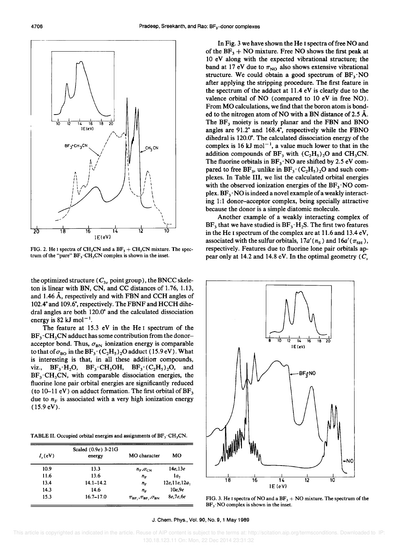

FIG. 2. He I spectra of  $CH_3CN$  and a  $BF_3 + CH_3CN$  mixture. The spectrum of the "pure"  $BF_3$  CH<sub>3</sub>CN complex is shown in the inset.

the optimized structure *(C*<sub>3v</sub> point group), the BNCC skeleton is linear with BN, CN, and CC distances of 1.76, 1.13, and 1.46 A, respectively and with FBN and CCH angles of 102.4° and 109.6°, respectively. The FBNF and HCCH dihedral angles are both 120.0° and the calculated dissociation energy is 82 kJ mol<sup> $-1$ </sup>.

The feature at 15.3 eV in the He I spectrum of the  $BF_3$ · CH<sub>3</sub>CN adduct has some contribution from the donoracceptor bond. Thus,  $\sigma_{BN}$  ionization energy is comparable to that of  $\sigma_{BO}$  in the BF<sub>3</sub> ' (C<sub>2</sub>H<sub>5</sub>)<sub>2</sub>O adduct (15.9 eV). What is interesting is that, in all these addition compounds, viz.,  $BF_3 \cdot H_2O$ ,  $BF_3 \cdot CH_3OH$ ,  $BF_3 \cdot (C_2H_5)_2O$ , and  $BF_3$ <sup> $\cdot$ </sup>CH<sub>3</sub>CN, with comparable dissociation energies, the fluorine lone pair orbital energies are significantly reduced (to 10–11 eV) on adduct formation. The first orbital of  $BF_3$ due to  $n_F$  is associated with a very high ionization energy (15.9 eV).

TABLE II. Occupied orbital energies and assignments of  $BF_3$ ·CH<sub>3</sub>CN.

| $I_{n}(eV)$ | Scaled (0.9 $\epsilon$ ) 3-21G<br>energy | MO character                                           | MО              |
|-------------|------------------------------------------|--------------------------------------------------------|-----------------|
| 10.9        | 13.3                                     | $n_F, \sigma_{CN}$                                     | 14e.13e         |
| 11.6        | 13.6                                     | $n_F$                                                  | 1a <sub>2</sub> |
| 13.4        | $14.1 - 14.2$                            | $n_F$                                                  | 12e, 11e, 12a,  |
| 14.3        | 14.6                                     | $n_{\rm F}$                                            | 10e.9e          |
| 15.3        | 16.7–17.0                                | $\pi_{\text{BF}}, \pi_{\text{BF}}, \sigma_{\text{BN}}$ | 8e, 7e, 6e      |

In Fig. 3 we have shown the He I spectra of free NO and of the  $BF_3 + NO$  mixture. Free NO shows the first peak at 10 eV along with the expected vibrational structure; the band at 17 eV due to  $\pi_{NO}$  also shows extensive vibrational structure. We could obtain a good spectrum of  $BF_3$ . NO after applying the stripping procedure. The first feature in the spectrum of the adduct at 11.4 eV is clearly due to the valence orbital of NO (compared to 10 eV in free NO). From MO calculations, we find that the boron atom is bonded to the nitrogen atom of NO with a BN distance of 2.5  $\AA$ . The  $BF_3$  moiety is nearly planar and the FBN and BNO angles are 91.2° and 168.4°, respectively while the FBNO dihedral is 120.0°. The calculated dissociation energy of the complex is 16 kJ mol<sup> $-1$ </sup>, a value much lower to that in the addition compounds of  $BF_3$  with  $(C_2H_5)_2O$  and  $CH_3CN$ . The fluorine orbitals in  $BF_3$ . NO are shifted by 2.5 eV compared to free BF<sub>3</sub>, unlike in BF<sub>3</sub> $\cdot$  (C<sub>2</sub>H<sub>5</sub>)<sub>2</sub>O and such complexes. In Table III, we list the calculated orbital energies with the observed ionization energies of the  $BF_3$ . NO complex.  $BF_3$ . NO is indeed a novel example of a weakly interacting 1:1 donor-acceptor complex, being specially attractive because the donor is a simple diatomic molecule.

Another example of a weakly interacting complex of  $BF_3$  that we have studied is  $BF_3 \cdot H_2 S$ . The first two features in the He I spectrum of the complex are at  $11.6$  and  $13.4$  eV, associated with the sulfur orbitals,  $17a'(n_s)$  and  $16a'(\pi_{SH})$ , respectively. Features due to fluorine lone pair orbitals appear only at 14.2 and 14.8 eV. In the optimal geometry *(C<sup>s</sup>*



FIG. 3. He I spectra of NO and a  $BF_3 + NO$  mixture. The spectrum of the  $BF_3$ . NO complex is shown in the inset.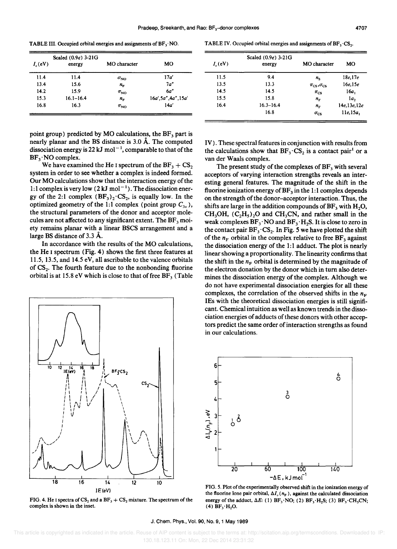**TABLE III.** Occupied orbital energies and assignments of  $BF_3$  NO.

| $I_{n}(eV)$ | Scaled $(0.9e)$ 3-21G<br>energy | MO character      | MO                   |
|-------------|---------------------------------|-------------------|----------------------|
| 11.4        | 11.4                            | $\sigma_{\rm NO}$ | 17a'                 |
| 13.4        | 15.6                            | $n_{\rm E}$       | 7a''                 |
| 14.2        | 15.9                            | $\pi_{\text{NO}}$ | 6а"                  |
| 15.3        | $16.1 - 16.4$                   | $n_{\rm F}$       | 16a', 5a", 4a", 15a' |
| 16.8        | 16.3                            | $\pi_{\text{NO}}$ | 14a'                 |

point group) predicted by MO calculations, the  $BF_3$  part is nearly planar and the BS distance is 3.0 A. The computed dissociation energy is 22 kJ mol<sup> $-1$ </sup>, comparable to that of the  $BF_3$  NO complex.

We have examined the He I spectrum of the  $BF_3 + CS_2$ system in order to see whether a complex is indeed formed. Our MO calculations show that the interaction energy of the 1:1 complex is very low  $(2 \mathrm{ kJ} \mathrm{ mol}^{-1})$ . The dissociation energy of the 2:1 complex  $(BF_3)_2$  CS<sub>2</sub>, is equally low. In the optimized geometry of the 1:1 complex (point group  $C_{3v}$ ), the structural parameters of the donor and acceptor molecules are not affected to any significant extent. The  $BF_3$  moiety remains planar with a linear BSCS arrangement and a large BS distance of 3.3 A.

In accordance with the results of the MO calculations, the He I spectrum (Fig. 4) shows the first three features at 11.5, 13.5, and 14.5 eV, all ascribable to the valence orbitals of  $CS_2$ . The fourth feature due to the nonbonding fluorine orbital is at 15.8 eV which is close to that of free  $BF_3$  (Table



FIG. 4. He I spectra of  $CS_2$  and a  $BF_3 + CS_2$  mixture. The spectrum of the complex is shown in the inset.

TABLE IV. Occupied orbital energies and assignments of  $BF_3$ ·CS<sub>2</sub>.

| $I_{\rm c}(eV)$ | Scaled (0.9 $\epsilon$ ) 3-21G<br>energy | <b>MO</b> character    | MО            |  |
|-----------------|------------------------------------------|------------------------|---------------|--|
| 11.5            | 9.4                                      | $n_{\rm s}$            | 18e, 17e      |  |
| 13.5            | 13.3                                     | $\pi_{CS},\sigma_{CS}$ | 16e.15e       |  |
| 14.5            | 14.5                                     | $\pi_{CS}$             | 16a.          |  |
| 15.5            | 15.8                                     | $n_{\rm F}$            | 1a,           |  |
| 16.4            | 16.3–16.4                                | $n_F$                  | 14e, 13e, 12e |  |
|                 | 16.8                                     | $\sigma_{\rm cs}$      | 11e, 15a      |  |

IV). These spectral features in conjunction with results from the calculations show that  $BF_3$  CS<sub>2</sub> is a contact pair<sup>1</sup> or a van der Waals complex.

The present study of the complexes of  $BF_3$  with several acceptors of varying interaction strengths reveals an interesting general features. The magnitude of the shift in the fluorine ionization energy of  $BF_3$  in the 1:1 complex depends on the strength of the donor-acceptor interaction. Thus, the shifts are large in the addition compounds of  $BF_3$  with  $H_2O$ , CH<sub>3</sub>OH,  $(C_2H_5)$ <sub>2</sub>O and CH<sub>3</sub>CN, and rather small in the weak complexes  $BF_3$ . NO and  $BF_3$ . H<sub>2</sub>S. It is close to zero in the contact pair  $BF_3$  CS<sub>2</sub>. In Fig. 5 we have plotted the shift of the  $n_F$  orbital in the complex relative to free  $BF_3$  against the dissociation energy of the 1: 1 adduct. The plot is nearly linear showing a proportionality. The linearity confirms that the shift in the  $n_F$  orbital is determined by the magnitude of the electron donation by the donor which in tum also determines the dissociation energy of the complex. Although we do not have experimental dissociation energies for all these complexes, the correlation of the observed shifts in the  $n_F$ IEs with the theoretical dissociation energies is still significant. Chemical intuition as well as known trends in the dissociation energies of adducts of these donors with other acceptors predict the same order of interaction strengths as found in our calculations.



FIG. 5. Plot of the experimentally observed shift in the ionization energy of the fluorine lone pair orbital,  $\Delta I_v(n_F)$ , against the calculated dissociation energy of the adduct,  $\Delta E$ : (1) BF<sub>3</sub>·NO; (2) BF<sub>3</sub>·H<sub>2</sub>S; (3) BF<sub>3</sub>·CH<sub>3</sub>CN; (4)  $BF_3 \cdot H_2O$ .